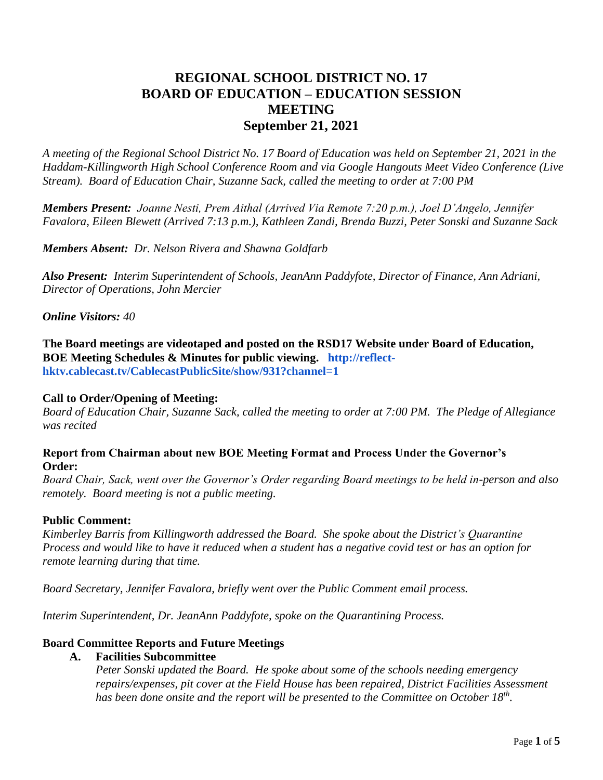# **REGIONAL SCHOOL DISTRICT NO. 17 BOARD OF EDUCATION – EDUCATION SESSION MEETING September 21, 2021**

*A meeting of the Regional School District No. 17 Board of Education was held on September 21, 2021 in the Haddam-Killingworth High School Conference Room and via Google Hangouts Meet Video Conference (Live Stream). Board of Education Chair, Suzanne Sack, called the meeting to order at 7:00 PM*

*Members Present: Joanne Nesti, Prem Aithal (Arrived Via Remote 7:20 p.m.), Joel D'Angelo, Jennifer Favalora, Eileen Blewett (Arrived 7:13 p.m.), Kathleen Zandi, Brenda Buzzi, Peter Sonski and Suzanne Sack*

*Members Absent: Dr. Nelson Rivera and Shawna Goldfarb*

*Also Present: Interim Superintendent of Schools, JeanAnn Paddyfote, Director of Finance, Ann Adriani, Director of Operations, John Mercier*

*Online Visitors: 40*

**The Board meetings are videotaped and posted on the RSD17 Website under Board of Education, BOE Meeting Schedules & Minutes for public viewing. [http://reflect](http://reflect-hktv.cablecast.tv/CablecastPublicSite/show/931?channel=1)[hktv.cablecast.tv/CablecastPublicSite/show/931?channel=1](http://reflect-hktv.cablecast.tv/CablecastPublicSite/show/931?channel=1)**

## **Call to Order/Opening of Meeting:**

*Board of Education Chair, Suzanne Sack, called the meeting to order at 7:00 PM. The Pledge of Allegiance was recited*

## **Report from Chairman about new BOE Meeting Format and Process Under the Governor's Order:**

*Board Chair, Sack, went over the Governor's Order regarding Board meetings to be held in-person and also remotely. Board meeting is not a public meeting.*

### **Public Comment:**

*Kimberley Barris from Killingworth addressed the Board. She spoke about the District's Quarantine Process and would like to have it reduced when a student has a negative covid test or has an option for remote learning during that time.*

*Board Secretary, Jennifer Favalora, briefly went over the Public Comment email process.*

*Interim Superintendent, Dr. JeanAnn Paddyfote, spoke on the Quarantining Process.*

## **Board Committee Reports and Future Meetings**

### **A. Facilities Subcommittee**

*Peter Sonski updated the Board. He spoke about some of the schools needing emergency repairs/expenses, pit cover at the Field House has been repaired, District Facilities Assessment has been done onsite and the report will be presented to the Committee on October 18th .*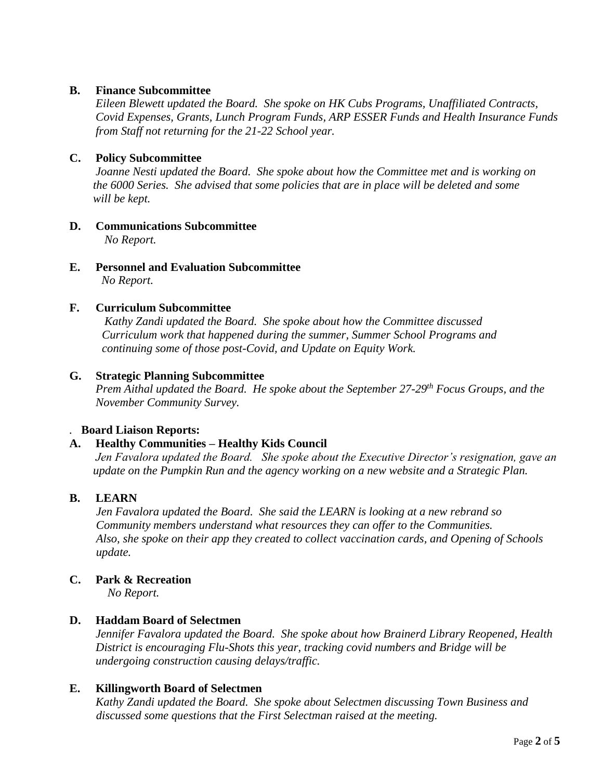## **B. Finance Subcommittee**

*Eileen Blewett updated the Board. She spoke on HK Cubs Programs, Unaffiliated Contracts, Covid Expenses, Grants, Lunch Program Funds, ARP ESSER Funds and Health Insurance Funds from Staff not returning for the 21-22 School year.*

## **C. Policy Subcommittee**

*Joanne Nesti updated the Board. She spoke about how the Committee met and is working on the 6000 Series. She advised that some policies that are in place will be deleted and some will be kept.* 

- **D. Communications Subcommittee** *No Report.*
- **E. Personnel and Evaluation Subcommittee** *No Report.*

### **F. Curriculum Subcommittee**

 *Kathy Zandi updated the Board. She spoke about how the Committee discussed Curriculum work that happened during the summer, Summer School Programs and continuing some of those post-Covid, and Update on Equity Work.*

### **G. Strategic Planning Subcommittee**

*Prem Aithal updated the Board. He spoke about the September 27-29th Focus Groups, and the November Community Survey.*

### *.* **Board Liaison Reports:**

### **A. Healthy Communities – Healthy Kids Council**

*Jen Favalora updated the Board. She spoke about the Executive Director's resignation, gave an update on the Pumpkin Run and the agency working on a new website and a Strategic Plan.*

### **B. LEARN**

 *Jen Favalora updated the Board. She said the LEARN is looking at a new rebrand so Community members understand what resources they can offer to the Communities. Also, she spoke on their app they created to collect vaccination cards, and Opening of Schools update.*

## **C. Park & Recreation**

*No Report.*

### **D. Haddam Board of Selectmen**

*Jennifer Favalora updated the Board. She spoke about how Brainerd Library Reopened, Health District is encouraging Flu-Shots this year, tracking covid numbers and Bridge will be undergoing construction causing delays/traffic.*

### **E. Killingworth Board of Selectmen**

*Kathy Zandi updated the Board. She spoke about Selectmen discussing Town Business and discussed some questions that the First Selectman raised at the meeting.*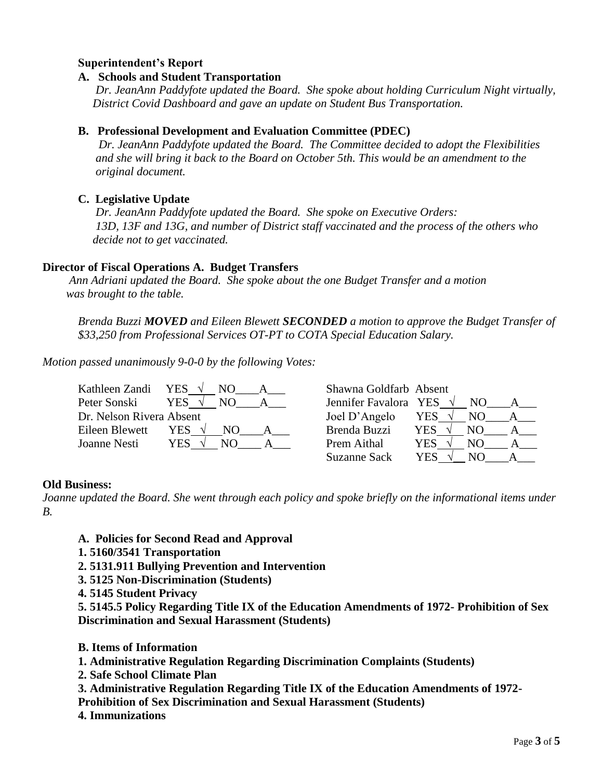## **Superintendent's Report**

## **A. Schools and Student Transportation**

 *Dr. JeanAnn Paddyfote updated the Board. She spoke about holding Curriculum Night virtually, District Covid Dashboard and gave an update on Student Bus Transportation.*

### **B. Professional Development and Evaluation Committee (PDEC)**

*Dr. JeanAnn Paddyfote updated the Board. The Committee decided to adopt the Flexibilities and she will bring it back to the Board on October 5th. This would be an amendment to the original document.*

## **C. Legislative Update**

*Dr. JeanAnn Paddyfote updated the Board. She spoke on Executive Orders: 13D, 13F and 13G, and number of District staff vaccinated and the process of the others who decide not to get vaccinated.*

### **Director of Fiscal Operations A. Budget Transfers**

*Ann Adriani updated the Board. She spoke about the one Budget Transfer and a motion was brought to the table.*

*Brenda Buzzi MOVED and Eileen Blewett SECONDED a motion to approve the Budget Transfer of \$33,250 from Professional Services OT-PT to COTA Special Education Salary.*

*Motion passed unanimously 9-0-0 by the following Votes:*

| Kathleen Zandi           | YES        | Shawna Goldfarb Absent |      |     |  |
|--------------------------|------------|------------------------|------|-----|--|
| Peter Sonski             | YES        | Jennifer Favalora YES  |      | NO. |  |
| Dr. Nelson Rivera Absent |            | Joel D'Angelo          | YES  | NO. |  |
| Eileen Blewett           | YES.       | Brenda Buzzi           | YES. | NО  |  |
| Joanne Nesti             | YES<br>NO. | Prem Aithal            | YES  | NΟ  |  |
|                          |            | <b>Suzanne Sack</b>    | YES  | N() |  |

### **Old Business:**

*Joanne updated the Board. She went through each policy and spoke briefly on the informational items under B.*

- **A. Policies for Second Read and Approval**
- **1. 5160/3541 Transportation**
- **2. 5131.911 Bullying Prevention and Intervention**
- **3. 5125 Non-Discrimination (Students)**
- **4. 5145 Student Privacy**

**5. 5145.5 Policy Regarding Title IX of the Education Amendments of 1972- Prohibition of Sex Discrimination and Sexual Harassment (Students)**

- **B. Items of Information**
- **1. Administrative Regulation Regarding Discrimination Complaints (Students)**
- **2. Safe School Climate Plan**
- **3. Administrative Regulation Regarding Title IX of the Education Amendments of 1972-**

**Prohibition of Sex Discrimination and Sexual Harassment (Students)** 

**4. Immunizations**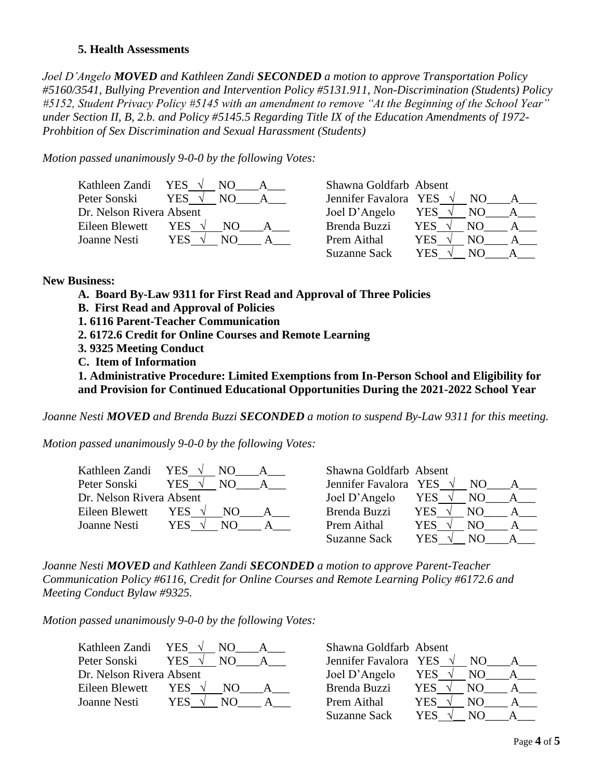### **5. Health Assessments**

*Joel D'Angelo MOVED and Kathleen Zandi SECONDED a motion to approve Transportation Policy #5160/3541, Bullying Prevention and Intervention Policy #5131.911, Non-Discrimination (Students) Policy #5152, Student Privacy Policy #5145 with an amendment to remove "At the Beginning of the School Year" under Section II, B, 2.b. and Policy #5145.5 Regarding Title IX of the Education Amendments of 1972- Prohbition of Sex Discrimination and Sexual Harassment (Students)*

*Motion passed unanimously 9-0-0 by the following Votes:*

| Kathleen Zandi           | YES $\sqrt{ }$    | Shawna Goldfarb Absent |             |
|--------------------------|-------------------|------------------------|-------------|
| Peter Sonski             | <b>YES</b><br>NO. | Jennifer Favalora YES  | NO.         |
| Dr. Nelson Rivera Absent |                   | Joel D'Angelo          | YES<br>NO.  |
| Eileen Blewett           | YES.<br>NO.       | Brenda Buzzi           | YES.<br>NO. |
| Joanne Nesti             | YES.<br>NΟ        | Prem Aithal            | YES<br>NΟ   |
|                          |                   | <b>Suzanne Sack</b>    | YES<br>NO.  |

#### **New Business:**

- **A. Board By-Law 9311 for First Read and Approval of Three Policies**
- **B. First Read and Approval of Policies**
- **1. 6116 Parent-Teacher Communication**
- **2. 6172.6 Credit for Online Courses and Remote Learning**
- **3. 9325 Meeting Conduct**
- **C. Item of Information**

**1. Administrative Procedure: Limited Exemptions from In-Person School and Eligibility for and Provision for Continued Educational Opportunities During the 2021-2022 School Year** 

*Joanne Nesti MOVED and Brenda Buzzi SECONDED a motion to suspend By-Law 9311 for this meeting.*

*Motion passed unanimously 9-0-0 by the following Votes:*

| Kathleen Zandi YES $\sqrt{}$ |             | Shawna Goldfarb Absent |                |     |  |
|------------------------------|-------------|------------------------|----------------|-----|--|
| Peter Sonski                 | YES.        | Jennifer Favalora YES  |                | NO. |  |
| Dr. Nelson Rivera Absent     |             | Joel D'Angelo          | YES $\sqrt{ }$ | NO. |  |
| Eileen Blewett               | YES.<br>NO. | Brenda Buzzi           | YES.           | NO. |  |
| Joanne Nesti                 | YES.<br>N() | Prem Aithal            | YES            | NО  |  |
|                              |             | <b>Suzanne Sack</b>    | YES            | N() |  |

*Joanne Nesti MOVED and Kathleen Zandi SECONDED a motion to approve Parent-Teacher Communication Policy #6116, Credit for Online Courses and Remote Learning Policy #6172.6 and Meeting Conduct Bylaw #9325.*

*Motion passed unanimously 9-0-0 by the following Votes:*

| Kathleen Zandi           | YES.<br>NО  | Shawna Goldfarb Absent |     |     |  |
|--------------------------|-------------|------------------------|-----|-----|--|
| Peter Sonski             | YES         | Jennifer Favalora YES  |     | NO. |  |
| Dr. Nelson Rivera Absent |             | Joel D'Angelo          | YES | N() |  |
| Eileen Blewett           | YES –<br>NΩ | Brenda Buzzi           | YES | NO  |  |
| Joanne Nesti             | YES         | Prem Aithal            | YES | NO  |  |
|                          |             |                        |     |     |  |

| Kathleen Zandi           | YES $\sqrt{ }$ | Shawna Goldfarb Absent |     |     |  |
|--------------------------|----------------|------------------------|-----|-----|--|
| Peter Sonski             | YES.<br>NO.    | Jennifer Favalora YES  |     | NO. |  |
| Dr. Nelson Rivera Absent |                | Joel D'Angelo          | YES | NO. |  |
| Eileen Blewett           | YES.<br>NO.    | Brenda Buzzi           | YES | NO. |  |
| Joanne Nesti             | YES<br>NO      | Prem Aithal            | YES | N() |  |
|                          |                | <b>Suzanne Sack</b>    | YES | N() |  |